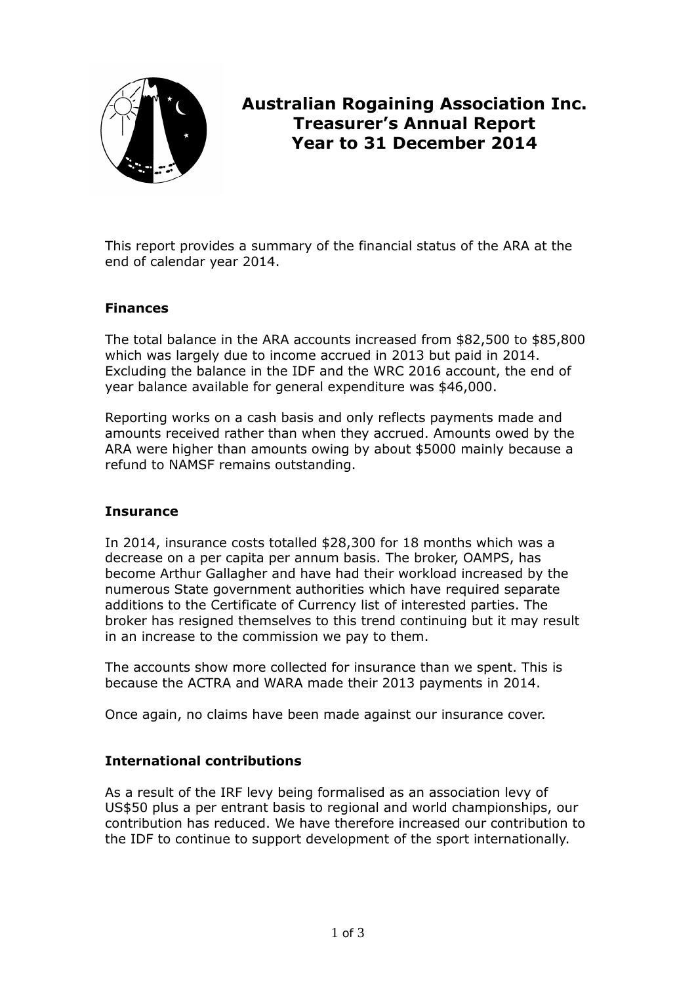

# **Australian Rogaining Association Inc. Treasurer's Annual Report Year to 31 December 2014**

This report provides a summary of the financial status of the ARA at the end of calendar year 2014.

# **Finances**

The total balance in the ARA accounts increased from \$82,500 to \$85,800 which was largely due to income accrued in 2013 but paid in 2014. Excluding the balance in the IDF and the WRC 2016 account, the end of year balance available for general expenditure was \$46,000.

Reporting works on a cash basis and only reflects payments made and amounts received rather than when they accrued. Amounts owed by the ARA were higher than amounts owing by about \$5000 mainly because a refund to NAMSF remains outstanding.

# **Insurance**

In 2014, insurance costs totalled \$28,300 for 18 months which was a decrease on a per capita per annum basis. The broker, OAMPS, has become Arthur Gallagher and have had their workload increased by the numerous State government authorities which have required separate additions to the Certificate of Currency list of interested parties. The broker has resigned themselves to this trend continuing but it may result in an increase to the commission we pay to them.

The accounts show more collected for insurance than we spent. This is because the ACTRA and WARA made their 2013 payments in 2014.

Once again, no claims have been made against our insurance cover.

# **International contributions**

As a result of the IRF levy being formalised as an association levy of US\$50 plus a per entrant basis to regional and world championships, our contribution has reduced. We have therefore increased our contribution to the IDF to continue to support development of the sport internationally.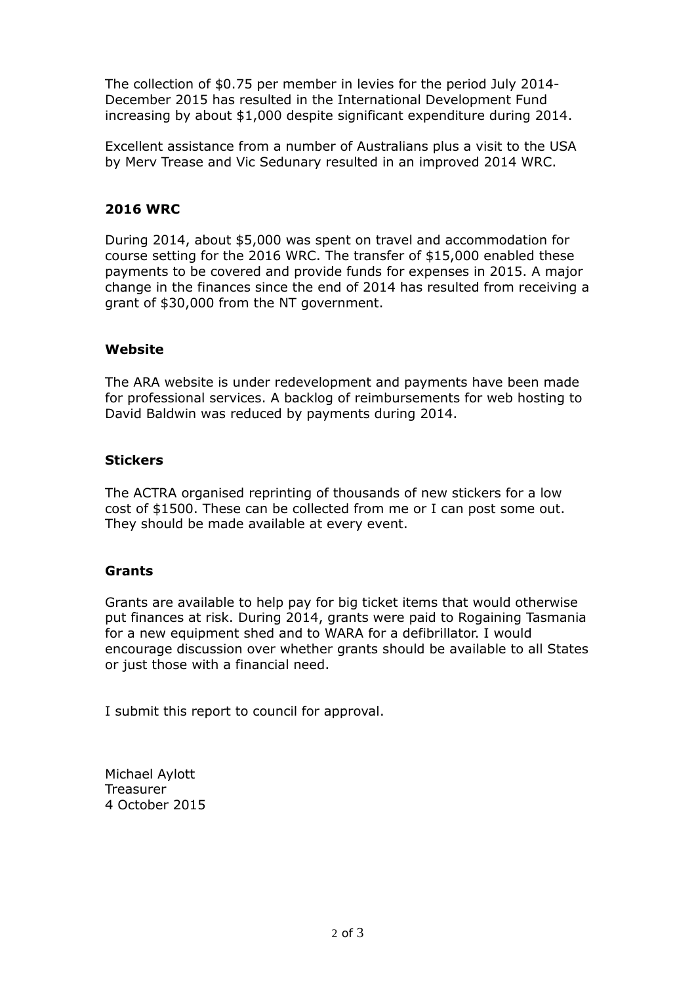The collection of \$0.75 per member in levies for the period July 2014- December 2015 has resulted in the International Development Fund increasing by about \$1,000 despite significant expenditure during 2014.

Excellent assistance from a number of Australians plus a visit to the USA by Merv Trease and Vic Sedunary resulted in an improved 2014 WRC.

#### **2016 WRC**

During 2014, about \$5,000 was spent on travel and accommodation for course setting for the 2016 WRC. The transfer of \$15,000 enabled these payments to be covered and provide funds for expenses in 2015. A major change in the finances since the end of 2014 has resulted from receiving a grant of \$30,000 from the NT government.

#### **Website**

The ARA website is under redevelopment and payments have been made for professional services. A backlog of reimbursements for web hosting to David Baldwin was reduced by payments during 2014.

#### **Stickers**

The ACTRA organised reprinting of thousands of new stickers for a low cost of \$1500. These can be collected from me or I can post some out. They should be made available at every event.

#### **Grants**

Grants are available to help pay for big ticket items that would otherwise put finances at risk. During 2014, grants were paid to Rogaining Tasmania for a new equipment shed and to WARA for a defibrillator. I would encourage discussion over whether grants should be available to all States or just those with a financial need.

I submit this report to council for approval.

Michael Aylott **Treasurer** 4 October 2015